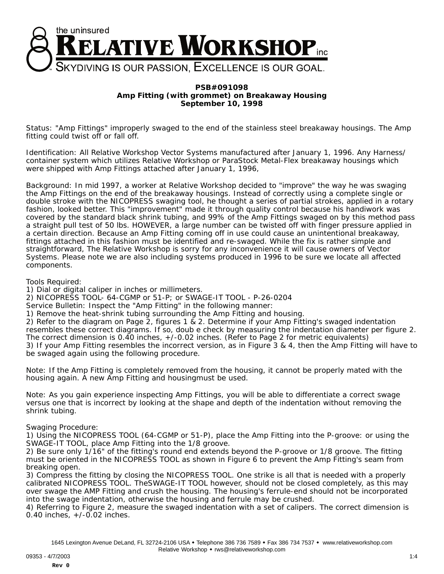

## **PSB#091098 Amp Fitting (with grommet) on Breakaway Housing September 10, 1998**

Status: "Amp Fittings" improperly swaged to the end of the stainless steel breakaway housings. The Amp fitting could twist off or fall off.

Identification: All Relative Workshop Vector Systems manufactured after January 1, 1996. Any Harness/ container system which utilizes Relative Workshop or ParaStock Metal-Flex breakaway housings which were shipped with Amp Fittings attached after January 1, 1996,

Background: In mid 1997, a worker at Relative Workshop decided to "improve" the way he was swaging the Amp Fittings on the end of the breakaway housings. Instead of correctly using a complete single or double stroke with the NICOPRESS swaging tool, he thought a series of partial strokes, applied in a rotary fashion, looked better. This "improvement" made it through quality control because his handiwork was covered by the standard black shrink tubing, and 99% of the Amp Fittings swaged on by this method pass a straight pull test of 50 lbs. HOWEVER, a large number can be twisted off with finger pressure applied in a certain direction. Because an Amp Fitting coming off in use could cause an unintentional breakaway, fittings attached in this fashion must be identified and re-swaged. While the fix is rather simple and straightforward, The Relative Workshop is sorry for any inconvenience it will cause owners of Vector Systems. Please note we are also including systems produced in 1996 to be sure we locate all affected components.

Tools Required:

1) Dial or digital caliper in inches or millimeters.

2) NICOPRESS TOOL- 64-CGMP or 51-P; or SWAGE-IT TOOL - P-26-0204

Service Bulletin: Inspect the "Amp Fitting" in the following manner:

1) Remove the heat-shrink tubing surrounding the Amp Fitting and housing.

2) Refer to the diagram on Page 2, figures 1 & 2. Determine if your Amp Fitting's swaged indentation resembles these correct diagrams. If so, doub e check by measuring the indentation diameter per figure 2. The correct dimension is 0.40 inches, +/-0.02 inches. (Refer to Page 2 for metric equivalents) 3) If your Amp Fitting resembles the incorrect version, as in Figure 3 & 4, then the Amp Fitting will have to be swaged again using the following procedure.

Note: If the Amp Fitting is completely removed from the housing, it cannot be properly mated with the housing again. A new Amp Fitting and housingmust be used.

Note: As you gain experience inspecting Amp Fittings, you will be able to differentiate a correct swage versus one that is incorrect by looking at the shape and depth of the indentation without removing the shrink tubing.

Swaging Procedure:

1) Using the NICOPRESS TOOL (64-CGMP or 51-P), place the Amp Fitting into the P-groove: or using the SWAGE-IT TOOL, place Amp Fitting into the 1/8 groove.

2) Be sure only 1/16" of the fitting's round end extends beyond the P-groove or 1/8 groove. The fitting must be oriented in the NICOPRESS TOOL as shown in Figure 6 to prevent the Amp Fitting's seam from breaking open.

3) Compress the fitting by closing the NICOPRESS TOOL. One strike is all that is needed with a properly calibrated NICOPRESS TOOL. TheSWAGE-IT TOOL however, should not be closed completely, as this may over swage the AMP Fitting and crush the housing. The housing's ferrule-end should not be incorporated into the swage indentation, otherwise the housing and ferrule may be crushed.

4) Referring to Figure 2, measure the swaged indentation with a set of calipers. The correct dimension is 0.40 inches, +/-0.02 inches.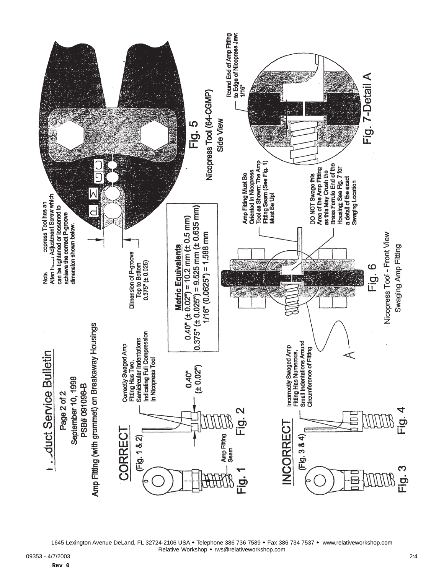

1645 Lexington Avenue DeLand, FL 32724-2106 USA . Telephone 386 736 7589 . Fax 386 734 7537 . www.relativeworkshop.com Relative Workshop • rws@relativeworkshop.com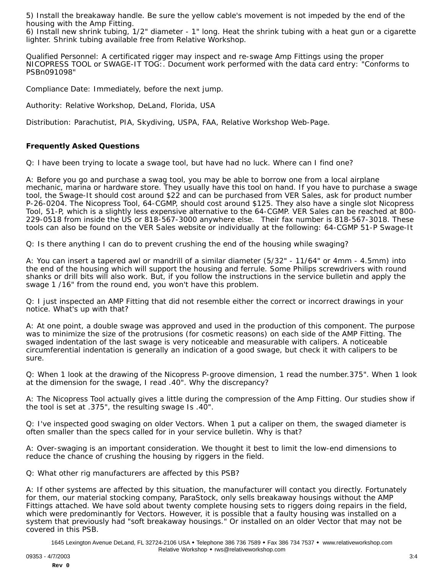5) Install the breakaway handle. Be sure the yellow cable's movement is not impeded by the end of the housing with the Amp Fitting.

6) Install new shrink tubing, 1/2" diameter - 1" long. Heat the shrink tubing with a heat gun or a cigarette lighter. Shrink tubing available free from Relative Workshop.

Qualified Personnel: A certificated rigger may inspect and re-swage Amp Fittings using the proper NICOPRESS TOOL or SWAGE-IT TOG:. Document work performed with the data card entry: "Conforms to PSBn091098"

Compliance Date: Immediately, before the next jump.

Authority: Relative Workshop, DeLand, Florida, USA

Distribution: Parachutist, PIA, Skydiving, USPA, FAA, Relative Workshop Web-Page.

## **Frequently Asked Questions**

Q: l have been trying to locate a swage tool, but have had no luck. Where can I find one?

A: Before you go and purchase a swag tool, you may be able to borrow one from a local airplane mechanic, marina or hardware store. They usually have this tool on hand. If you have to purchase a swage tool, the Swage-It should cost around \$22 and can be purchased from VER Sales, ask for product number P-26-0204. The Nicopress Tool, 64-CGMP, should cost around \$125. They also have a single slot Nicopress Tool, 51-P, which is a slightly less expensive alternative to the 64-CGMP. VER Sales can be reached at 800- 229-0518 from inside the US or 818-567-3000 anywhere else. Their fax number is 818-567-3018. These tools can also be found on the VER Sales website or individually at the following: 64-CGMP 51-P Swage-It

Q: Is there anything I can do to prevent crushing the end of the housing while swaging?

A: You can insert a tapered awl or mandrill of a similar diameter (5/32" - 11/64" or 4mm - 4.5mm) into the end of the housing which will support the housing and ferrule. Some Philips screwdrivers with round shanks or drill bits will also work. But, if you follow the instructions in the service bulletin and apply the swage 1 /16" from the round end, you won't have this problem.

Q: I just inspected an AMP Fitting that did not resemble either the correct or incorrect drawings in your notice. What's up with that?

A: At one point, a double swage was approved and used in the production of this component. The purpose was to minimize the size of the protrusions (for cosmetic reasons) on each side of the AMP Fitting. The swaged indentation of the last swage is very noticeable and measurable with calipers. A noticeable circumferential indentation is generally an indication of a good swage, but check it with calipers to be sure.

Q: When 1 look at the drawing of the Nicopress P-groove dimension, 1 read the number.375". When 1 look at the dimension for the swage, I read .40". Why the discrepancy?

A: The Nicopress Tool actually gives a little during the compression of the Amp Fitting. Our studies show if the tool is set at .375", the resulting swage Is .40".

Q: I've inspected good swaging on older Vectors. When 1 put a caliper on them, the swaged diameter is often smaller than the specs called for in your service bulletin. Why is that?

A: Over-swaging is an important consideration. We thought it best to limit the low-end dimensions to reduce the chance of crushing the housing by riggers in the field.

Q: What other rig manufacturers are affected by this PSB?

A: If other systems are affected by this situation, the manufacturer will contact you directly. Fortunately for them, our material stocking company, ParaStock, only sells breakaway housings without the AMP Fittings attached. We have sold about twenty complete housing sets to riggers doing repairs in the field, which were predominantly for Vectors. However, it is possible that a faulty housing was installed on a system that previously had "soft breakaway housings." Or installed on an older Vector that may not be covered in this PSB.